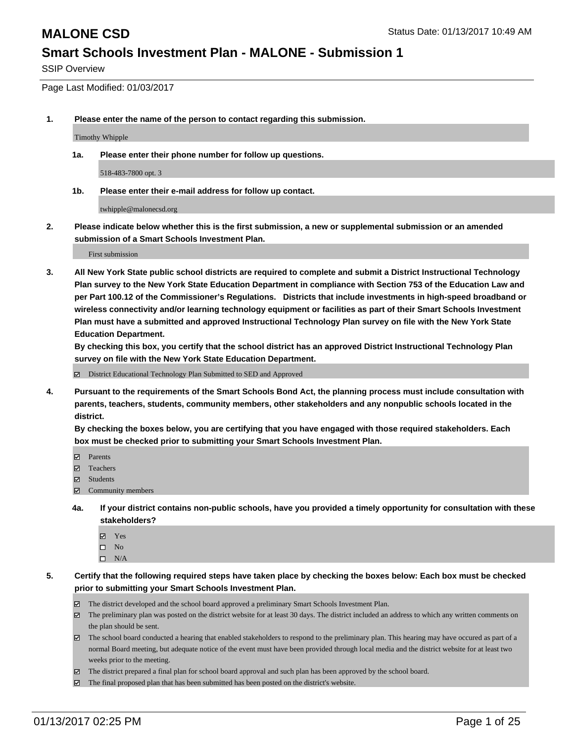SSIP Overview

Page Last Modified: 01/03/2017

**1. Please enter the name of the person to contact regarding this submission.**

Timothy Whipple

**1a. Please enter their phone number for follow up questions.**

518-483-7800 opt. 3

**1b. Please enter their e-mail address for follow up contact.**

twhipple@malonecsd.org

**2. Please indicate below whether this is the first submission, a new or supplemental submission or an amended submission of a Smart Schools Investment Plan.**

First submission

**3. All New York State public school districts are required to complete and submit a District Instructional Technology Plan survey to the New York State Education Department in compliance with Section 753 of the Education Law and per Part 100.12 of the Commissioner's Regulations. Districts that include investments in high-speed broadband or wireless connectivity and/or learning technology equipment or facilities as part of their Smart Schools Investment Plan must have a submitted and approved Instructional Technology Plan survey on file with the New York State Education Department.** 

**By checking this box, you certify that the school district has an approved District Instructional Technology Plan survey on file with the New York State Education Department.**

District Educational Technology Plan Submitted to SED and Approved

**4. Pursuant to the requirements of the Smart Schools Bond Act, the planning process must include consultation with parents, teachers, students, community members, other stakeholders and any nonpublic schools located in the district.** 

**By checking the boxes below, you are certifying that you have engaged with those required stakeholders. Each box must be checked prior to submitting your Smart Schools Investment Plan.**

- **Parents**
- Teachers
- **冈** Students
- Community members
- **4a. If your district contains non-public schools, have you provided a timely opportunity for consultation with these stakeholders?**
	- Yes
	- $\square$  No
	- $\square$  N/A
- **5. Certify that the following required steps have taken place by checking the boxes below: Each box must be checked prior to submitting your Smart Schools Investment Plan.**
	- The district developed and the school board approved a preliminary Smart Schools Investment Plan.
	- The preliminary plan was posted on the district website for at least 30 days. The district included an address to which any written comments on the plan should be sent.
	- The school board conducted a hearing that enabled stakeholders to respond to the preliminary plan. This hearing may have occured as part of a normal Board meeting, but adequate notice of the event must have been provided through local media and the district website for at least two weeks prior to the meeting.
	- The district prepared a final plan for school board approval and such plan has been approved by the school board.
	- $\boxtimes$  The final proposed plan that has been submitted has been posted on the district's website.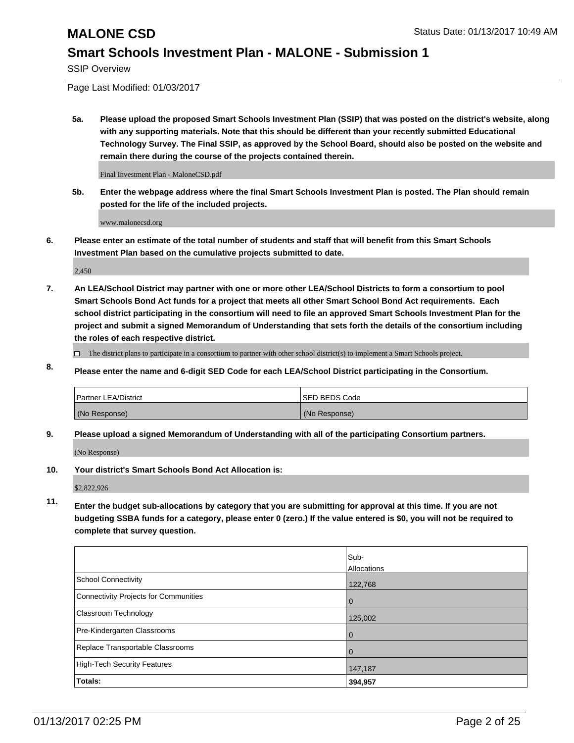SSIP Overview

Page Last Modified: 01/03/2017

**5a. Please upload the proposed Smart Schools Investment Plan (SSIP) that was posted on the district's website, along with any supporting materials. Note that this should be different than your recently submitted Educational Technology Survey. The Final SSIP, as approved by the School Board, should also be posted on the website and remain there during the course of the projects contained therein.**

Final Investment Plan - MaloneCSD.pdf

**5b. Enter the webpage address where the final Smart Schools Investment Plan is posted. The Plan should remain posted for the life of the included projects.**

www.malonecsd.org

**6. Please enter an estimate of the total number of students and staff that will benefit from this Smart Schools Investment Plan based on the cumulative projects submitted to date.**

2,450

- **7. An LEA/School District may partner with one or more other LEA/School Districts to form a consortium to pool Smart Schools Bond Act funds for a project that meets all other Smart School Bond Act requirements. Each school district participating in the consortium will need to file an approved Smart Schools Investment Plan for the project and submit a signed Memorandum of Understanding that sets forth the details of the consortium including the roles of each respective district.**
	- $\Box$  The district plans to participate in a consortium to partner with other school district(s) to implement a Smart Schools project.
- **8. Please enter the name and 6-digit SED Code for each LEA/School District participating in the Consortium.**

| <b>Partner LEA/District</b> | <b>ISED BEDS Code</b> |
|-----------------------------|-----------------------|
| (No Response)               | (No Response)         |

**9. Please upload a signed Memorandum of Understanding with all of the participating Consortium partners.**

(No Response)

**10. Your district's Smart Schools Bond Act Allocation is:**

\$2,822,926

**11. Enter the budget sub-allocations by category that you are submitting for approval at this time. If you are not budgeting SSBA funds for a category, please enter 0 (zero.) If the value entered is \$0, you will not be required to complete that survey question.**

|                                       | Sub-        |
|---------------------------------------|-------------|
|                                       | Allocations |
| School Connectivity                   | 122,768     |
| Connectivity Projects for Communities | 0           |
| <b>Classroom Technology</b>           | 125,002     |
| Pre-Kindergarten Classrooms           | 0           |
| Replace Transportable Classrooms      |             |
| High-Tech Security Features           | 147,187     |
| Totals:                               | 394,957     |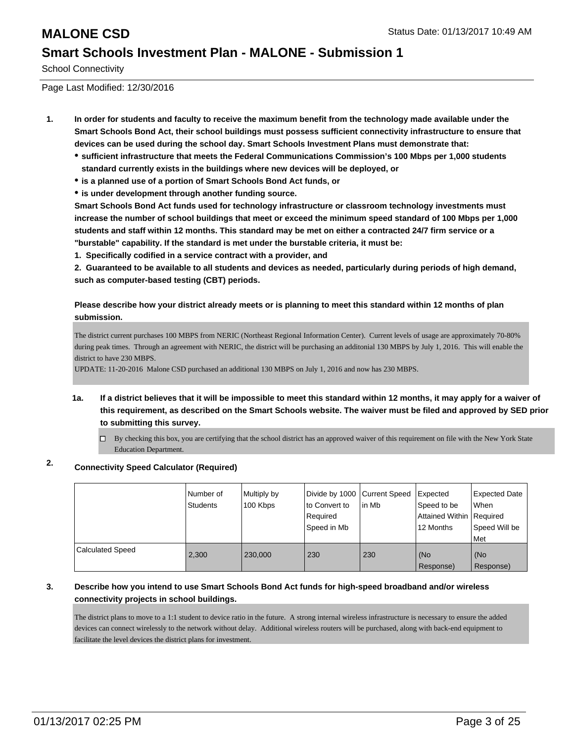School Connectivity

Page Last Modified: 12/30/2016

- **1. In order for students and faculty to receive the maximum benefit from the technology made available under the Smart Schools Bond Act, their school buildings must possess sufficient connectivity infrastructure to ensure that devices can be used during the school day. Smart Schools Investment Plans must demonstrate that:**
	- **sufficient infrastructure that meets the Federal Communications Commission's 100 Mbps per 1,000 students standard currently exists in the buildings where new devices will be deployed, or**
	- **is a planned use of a portion of Smart Schools Bond Act funds, or**
	- **is under development through another funding source.**

**Smart Schools Bond Act funds used for technology infrastructure or classroom technology investments must increase the number of school buildings that meet or exceed the minimum speed standard of 100 Mbps per 1,000 students and staff within 12 months. This standard may be met on either a contracted 24/7 firm service or a "burstable" capability. If the standard is met under the burstable criteria, it must be:**

**1. Specifically codified in a service contract with a provider, and**

**2. Guaranteed to be available to all students and devices as needed, particularly during periods of high demand, such as computer-based testing (CBT) periods.**

### **Please describe how your district already meets or is planning to meet this standard within 12 months of plan submission.**

The district current purchases 100 MBPS from NERIC (Northeast Regional Information Center). Current levels of usage are approximately 70-80% during peak times. Through an agreement with NERIC, the district will be purchasing an additonial 130 MBPS by July 1, 2016. This will enable the district to have 230 MBPS.

UPDATE: 11-20-2016 Malone CSD purchased an additional 130 MBPS on July 1, 2016 and now has 230 MBPS.

- **1a. If a district believes that it will be impossible to meet this standard within 12 months, it may apply for a waiver of this requirement, as described on the Smart Schools website. The waiver must be filed and approved by SED prior to submitting this survey.**
	- By checking this box, you are certifying that the school district has an approved waiver of this requirement on file with the New York State Education Department.

### **2. Connectivity Speed Calculator (Required)**

|                  | Number of<br><b>Students</b> | Multiply by<br>100 Kbps | Divide by 1000 Current Speed<br>lto Convert to<br>Required<br>Speed in Mb | lin Mb | Expected<br>Speed to be<br>Attained Within   Required<br>12 Months | <b>Expected Date</b><br>When<br>Speed Will be<br>Met |
|------------------|------------------------------|-------------------------|---------------------------------------------------------------------------|--------|--------------------------------------------------------------------|------------------------------------------------------|
| Calculated Speed | 2,300                        | 230,000                 | 230                                                                       | 230    | (No<br>Response)                                                   | l (No<br>Response)                                   |

### **3. Describe how you intend to use Smart Schools Bond Act funds for high-speed broadband and/or wireless connectivity projects in school buildings.**

The district plans to move to a 1:1 student to device ratio in the future. A strong internal wireless infrastructure is necessary to ensure the added devices can connect wirelessly to the network without delay. Additional wireless routers will be purchased, along with back-end equipment to facilitate the level devices the district plans for investment.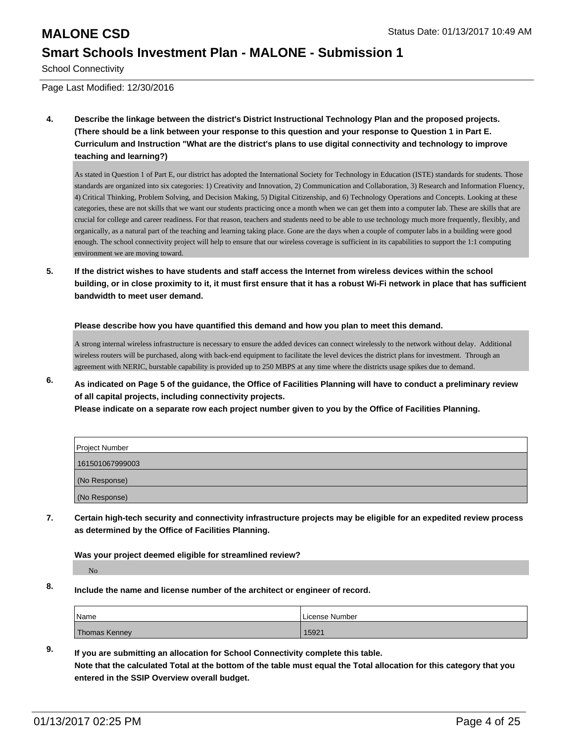School Connectivity

Page Last Modified: 12/30/2016

**4. Describe the linkage between the district's District Instructional Technology Plan and the proposed projects. (There should be a link between your response to this question and your response to Question 1 in Part E. Curriculum and Instruction "What are the district's plans to use digital connectivity and technology to improve teaching and learning?)**

As stated in Question 1 of Part E, our district has adopted the International Society for Technology in Education (ISTE) standards for students. Those standards are organized into six categories: 1) Creativity and Innovation, 2) Communication and Collaboration, 3) Research and Information Fluency, 4) Critical Thinking, Problem Solving, and Decision Making, 5) Digital Citizenship, and 6) Technology Operations and Concepts. Looking at these categories, these are not skills that we want our students practicing once a month when we can get them into a computer lab. These are skills that are crucial for college and career readiness. For that reason, teachers and students need to be able to use technology much more frequently, flexibly, and organically, as a natural part of the teaching and learning taking place. Gone are the days when a couple of computer labs in a building were good enough. The school connectivity project will help to ensure that our wireless coverage is sufficient in its capabilities to support the 1:1 computing environment we are moving toward.

**5. If the district wishes to have students and staff access the Internet from wireless devices within the school building, or in close proximity to it, it must first ensure that it has a robust Wi-Fi network in place that has sufficient bandwidth to meet user demand.**

**Please describe how you have quantified this demand and how you plan to meet this demand.**

A strong internal wireless infrastructure is necessary to ensure the added devices can connect wirelessly to the network without delay. Additional wireless routers will be purchased, along with back-end equipment to facilitate the level devices the district plans for investment. Through an agreement with NERIC, burstable capability is provided up to 250 MBPS at any time where the districts usage spikes due to demand.

**6. As indicated on Page 5 of the guidance, the Office of Facilities Planning will have to conduct a preliminary review of all capital projects, including connectivity projects.**

**Please indicate on a separate row each project number given to you by the Office of Facilities Planning.**

| Project Number  |  |
|-----------------|--|
| 161501067999003 |  |
| (No Response)   |  |
| (No Response)   |  |

**7. Certain high-tech security and connectivity infrastructure projects may be eligible for an expedited review process as determined by the Office of Facilities Planning.**

**Was your project deemed eligible for streamlined review?**

**8. Include the name and license number of the architect or engineer of record.**

| Name          | License Number |
|---------------|----------------|
| Thomas Kenney | 15921          |

**9. If you are submitting an allocation for School Connectivity complete this table.**

**Note that the calculated Total at the bottom of the table must equal the Total allocation for this category that you entered in the SSIP Overview overall budget.** 

No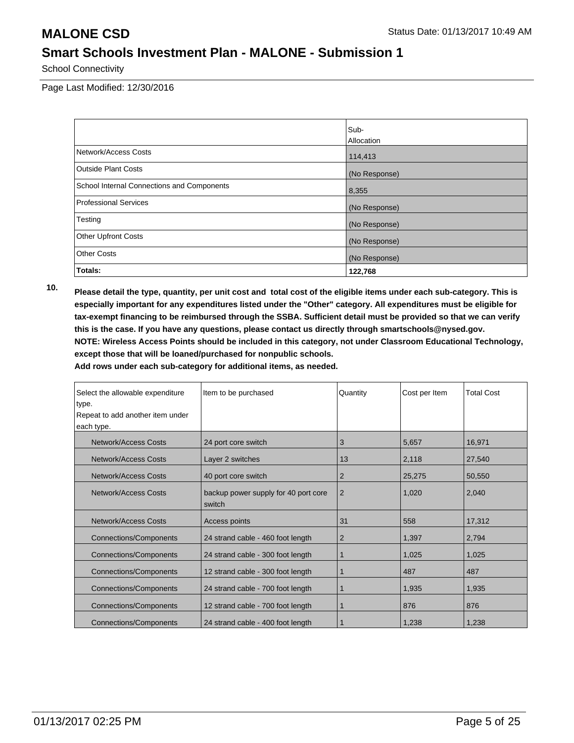School Connectivity

Page Last Modified: 12/30/2016

|                                            | Sub-              |
|--------------------------------------------|-------------------|
|                                            | <b>Allocation</b> |
| Network/Access Costs                       | 114,413           |
| <b>Outside Plant Costs</b>                 | (No Response)     |
| School Internal Connections and Components | 8,355             |
| Professional Services                      | (No Response)     |
| Testing                                    | (No Response)     |
| <b>Other Upfront Costs</b>                 | (No Response)     |
| <b>Other Costs</b>                         | (No Response)     |
| Totals:                                    | 122,768           |

**10. Please detail the type, quantity, per unit cost and total cost of the eligible items under each sub-category. This is especially important for any expenditures listed under the "Other" category. All expenditures must be eligible for tax-exempt financing to be reimbursed through the SSBA. Sufficient detail must be provided so that we can verify this is the case. If you have any questions, please contact us directly through smartschools@nysed.gov. NOTE: Wireless Access Points should be included in this category, not under Classroom Educational Technology, except those that will be loaned/purchased for nonpublic schools.**

| Select the allowable expenditure | Item to be purchased                           | Quantity       | Cost per Item | <b>Total Cost</b> |
|----------------------------------|------------------------------------------------|----------------|---------------|-------------------|
| type.                            |                                                |                |               |                   |
| Repeat to add another item under |                                                |                |               |                   |
| each type.                       |                                                |                |               |                   |
| Network/Access Costs             | 24 port core switch                            | 3              | 5,657         | 16,971            |
| Network/Access Costs             | Layer 2 switches                               | 13             | 2,118         | 27,540            |
| Network/Access Costs             | 40 port core switch                            | 2              | 25,275        | 50,550            |
| Network/Access Costs             | backup power supply for 40 port core<br>switch | 2              | 1,020         | 2,040             |
| Network/Access Costs             | Access points                                  | 31             | 558           | 17,312            |
| <b>Connections/Components</b>    | 24 strand cable - 460 foot length              | $\overline{2}$ | 1,397         | 2,794             |
| Connections/Components           | 24 strand cable - 300 foot length              | 1              | 1,025         | 1,025             |
| <b>Connections/Components</b>    | 12 strand cable - 300 foot length              | 1              | 487           | 487               |
| Connections/Components           | 24 strand cable - 700 foot length              | $\mathbf 1$    | 1,935         | 1,935             |
| <b>Connections/Components</b>    | 12 strand cable - 700 foot length              | 1              | 876           | 876               |
| Connections/Components           | 24 strand cable - 400 foot length              |                | 1,238         | 1,238             |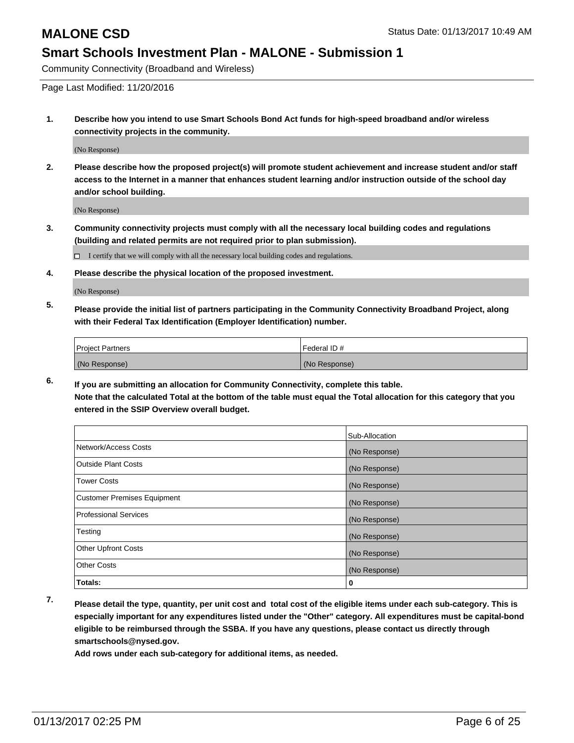Community Connectivity (Broadband and Wireless)

Page Last Modified: 11/20/2016

**1. Describe how you intend to use Smart Schools Bond Act funds for high-speed broadband and/or wireless connectivity projects in the community.**

(No Response)

**2. Please describe how the proposed project(s) will promote student achievement and increase student and/or staff access to the Internet in a manner that enhances student learning and/or instruction outside of the school day and/or school building.**

(No Response)

**3. Community connectivity projects must comply with all the necessary local building codes and regulations (building and related permits are not required prior to plan submission).**

 $\Box$  I certify that we will comply with all the necessary local building codes and regulations.

**4. Please describe the physical location of the proposed investment.**

(No Response)

**5. Please provide the initial list of partners participating in the Community Connectivity Broadband Project, along with their Federal Tax Identification (Employer Identification) number.**

| <b>Project Partners</b> | Federal ID#   |
|-------------------------|---------------|
| (No Response)           | (No Response) |

**6. If you are submitting an allocation for Community Connectivity, complete this table. Note that the calculated Total at the bottom of the table must equal the Total allocation for this category that you entered in the SSIP Overview overall budget.**

|                                    | Sub-Allocation |
|------------------------------------|----------------|
| Network/Access Costs               | (No Response)  |
| <b>Outside Plant Costs</b>         | (No Response)  |
| <b>Tower Costs</b>                 | (No Response)  |
| <b>Customer Premises Equipment</b> | (No Response)  |
| <b>Professional Services</b>       | (No Response)  |
| Testing                            | (No Response)  |
| <b>Other Upfront Costs</b>         | (No Response)  |
| <b>Other Costs</b>                 | (No Response)  |
| Totals:                            | 0              |

**7. Please detail the type, quantity, per unit cost and total cost of the eligible items under each sub-category. This is especially important for any expenditures listed under the "Other" category. All expenditures must be capital-bond eligible to be reimbursed through the SSBA. If you have any questions, please contact us directly through smartschools@nysed.gov.**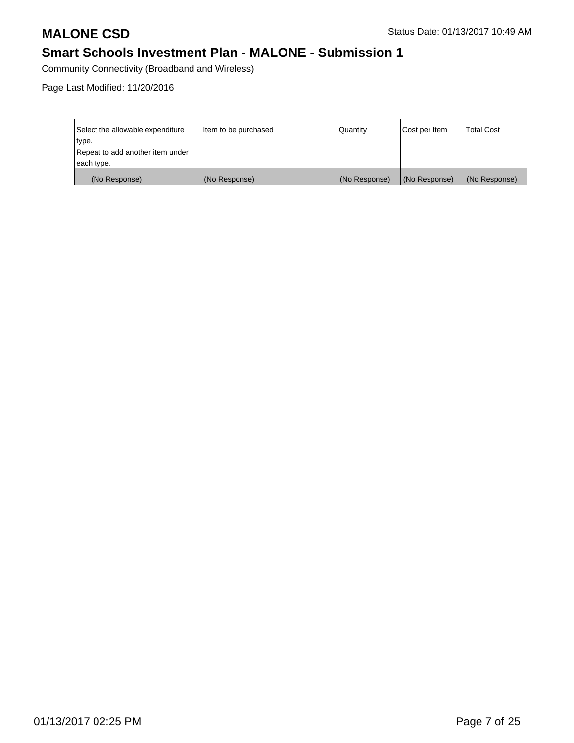Community Connectivity (Broadband and Wireless)

| Select the allowable expenditure | Item to be purchased | Quantity      | Cost per Item | Total Cost    |
|----------------------------------|----------------------|---------------|---------------|---------------|
| type.                            |                      |               |               |               |
| Repeat to add another item under |                      |               |               |               |
| each type.                       |                      |               |               |               |
| (No Response)                    | (No Response)        | (No Response) | (No Response) | (No Response) |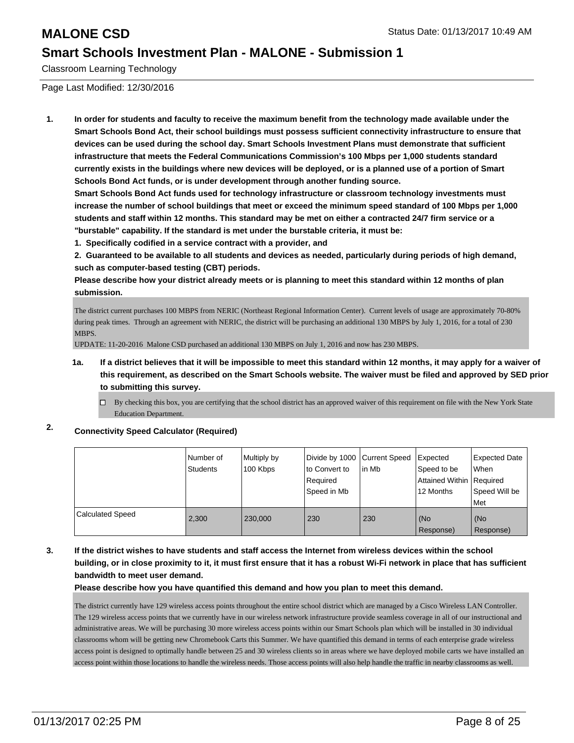Classroom Learning Technology

Page Last Modified: 12/30/2016

**1. In order for students and faculty to receive the maximum benefit from the technology made available under the Smart Schools Bond Act, their school buildings must possess sufficient connectivity infrastructure to ensure that devices can be used during the school day. Smart Schools Investment Plans must demonstrate that sufficient infrastructure that meets the Federal Communications Commission's 100 Mbps per 1,000 students standard currently exists in the buildings where new devices will be deployed, or is a planned use of a portion of Smart Schools Bond Act funds, or is under development through another funding source.**

**Smart Schools Bond Act funds used for technology infrastructure or classroom technology investments must increase the number of school buildings that meet or exceed the minimum speed standard of 100 Mbps per 1,000 students and staff within 12 months. This standard may be met on either a contracted 24/7 firm service or a "burstable" capability. If the standard is met under the burstable criteria, it must be:**

**1. Specifically codified in a service contract with a provider, and**

**2. Guaranteed to be available to all students and devices as needed, particularly during periods of high demand, such as computer-based testing (CBT) periods.**

**Please describe how your district already meets or is planning to meet this standard within 12 months of plan submission.**

The district current purchases 100 MBPS from NERIC (Northeast Regional Information Center). Current levels of usage are approximately 70-80% during peak times. Through an agreement with NERIC, the district will be purchasing an additional 130 MBPS by July 1, 2016, for a total of 230 MBPS.

UPDATE: 11-20-2016 Malone CSD purchased an additional 130 MBPS on July 1, 2016 and now has 230 MBPS.

### **1a. If a district believes that it will be impossible to meet this standard within 12 months, it may apply for a waiver of this requirement, as described on the Smart Schools website. The waiver must be filed and approved by SED prior to submitting this survey.**

 $\Box$  By checking this box, you are certifying that the school district has an approved waiver of this requirement on file with the New York State Education Department.

### **2. Connectivity Speed Calculator (Required)**

|                  | INumber of<br><b>Students</b> | Multiply by<br>100 Kbps | Divide by 1000 Current Speed<br>lto Convert to<br>Required<br>Speed in Mb | lin Mb | Expected<br>Speed to be<br>Attained Within   Required<br>12 Months | <b>Expected Date</b><br>l When<br>Speed Will be<br>Met |
|------------------|-------------------------------|-------------------------|---------------------------------------------------------------------------|--------|--------------------------------------------------------------------|--------------------------------------------------------|
| Calculated Speed | 2,300                         | 230,000                 | 230                                                                       | 230    | (No<br>Response)                                                   | l (No<br>Response)                                     |

### **3. If the district wishes to have students and staff access the Internet from wireless devices within the school building, or in close proximity to it, it must first ensure that it has a robust Wi-Fi network in place that has sufficient bandwidth to meet user demand.**

**Please describe how you have quantified this demand and how you plan to meet this demand.**

The district currently have 129 wireless access points throughout the entire school district which are managed by a Cisco Wireless LAN Controller. The 129 wireless access points that we currently have in our wireless network infrastructure provide seamless coverage in all of our instructional and administrative areas. We will be purchasing 30 more wireless access points within our Smart Schools plan which will be installed in 30 individual classrooms whom will be getting new Chromebook Carts this Summer. We have quantified this demand in terms of each enterprise grade wireless access point is designed to optimally handle between 25 and 30 wireless clients so in areas where we have deployed mobile carts we have installed an access point within those locations to handle the wireless needs. Those access points will also help handle the traffic in nearby classrooms as well.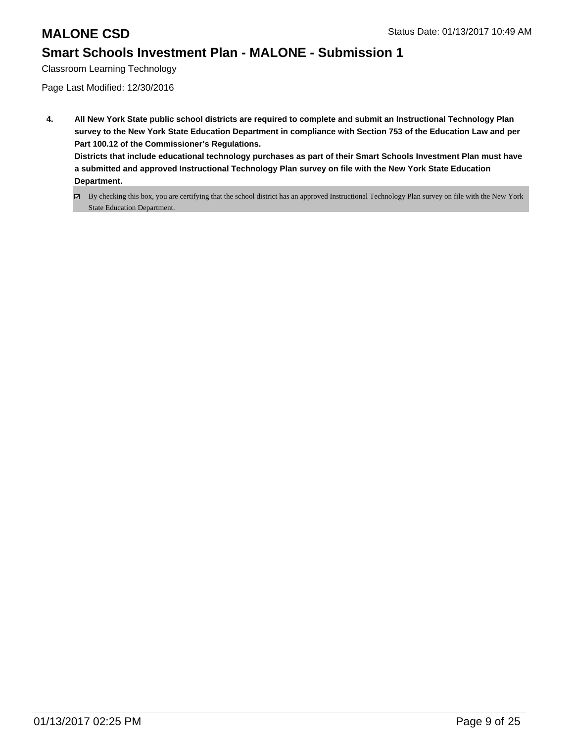Classroom Learning Technology

- **4. All New York State public school districts are required to complete and submit an Instructional Technology Plan survey to the New York State Education Department in compliance with Section 753 of the Education Law and per Part 100.12 of the Commissioner's Regulations. Districts that include educational technology purchases as part of their Smart Schools Investment Plan must have a submitted and approved Instructional Technology Plan survey on file with the New York State Education Department.**
	- By checking this box, you are certifying that the school district has an approved Instructional Technology Plan survey on file with the New York State Education Department.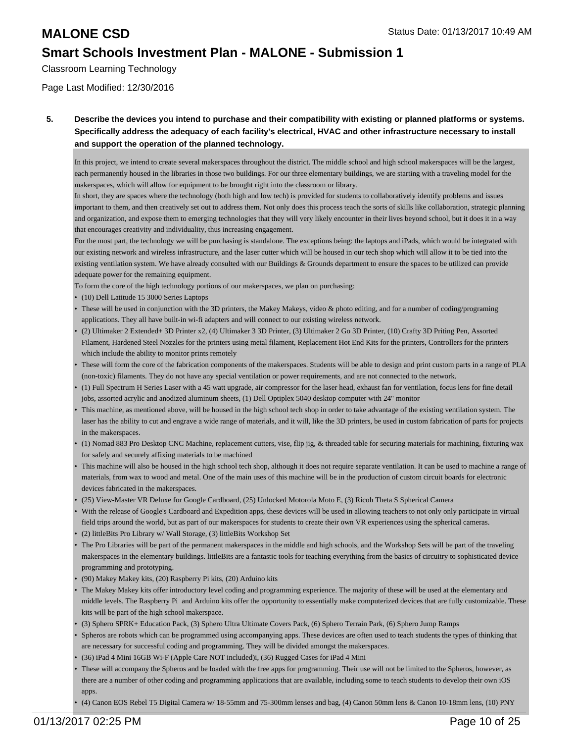Classroom Learning Technology

Page Last Modified: 12/30/2016

**5. Describe the devices you intend to purchase and their compatibility with existing or planned platforms or systems. Specifically address the adequacy of each facility's electrical, HVAC and other infrastructure necessary to install and support the operation of the planned technology.**

In this project, we intend to create several makerspaces throughout the district. The middle school and high school makerspaces will be the largest, each permanently housed in the libraries in those two buildings. For our three elementary buildings, we are starting with a traveling model for the makerspaces, which will allow for equipment to be brought right into the classroom or library.

In short, they are spaces where the technology (both high and low tech) is provided for students to collaboratively identify problems and issues important to them, and then creatively set out to address them. Not only does this process teach the sorts of skills like collaboration, strategic planning and organization, and expose them to emerging technologies that they will very likely encounter in their lives beyond school, but it does it in a way that encourages creativity and individuality, thus increasing engagement.

For the most part, the technology we will be purchasing is standalone. The exceptions being: the laptops and iPads, which would be integrated with our existing network and wireless infrastructure, and the laser cutter which will be housed in our tech shop which will allow it to be tied into the existing ventilation system. We have already consulted with our Buildings & Grounds department to ensure the spaces to be utilized can provide adequate power for the remaining equipment.

To form the core of the high technology portions of our makerspaces, we plan on purchasing:

- (10) Dell Latitude 15 3000 Series Laptops
- These will be used in conjunction with the 3D printers, the Makey Makeys, video & photo editing, and for a number of coding/programing applications. They all have built-in wi-fi adapters and will connect to our existing wireless network.
- (2) Ultimaker 2 Extended+ 3D Printer x2, (4) Ultimaker 3 3D Printer, (3) Ultimaker 2 Go 3D Printer, (10) Crafty 3D Priting Pen, Assorted Filament, Hardened Steel Nozzles for the printers using metal filament, Replacement Hot End Kits for the printers, Controllers for the printers which include the ability to monitor prints remotely
- These will form the core of the fabrication components of the makerspaces. Students will be able to design and print custom parts in a range of PLA (non-toxic) filaments. They do not have any special ventilation or power requirements, and are not connected to the network.
- (1) Full Spectrum H Series Laser with a 45 watt upgrade, air compressor for the laser head, exhaust fan for ventilation, focus lens for fine detail jobs, assorted acrylic and anodized aluminum sheets, (1) Dell Optiplex 5040 desktop computer with 24" monitor
- This machine, as mentioned above, will be housed in the high school tech shop in order to take advantage of the existing ventilation system. The laser has the ability to cut and engrave a wide range of materials, and it will, like the 3D printers, be used in custom fabrication of parts for projects in the makerspaces.
- (1) Nomad 883 Pro Desktop CNC Machine, replacement cutters, vise, flip jig, & threaded table for securing materials for machining, fixturing wax for safely and securely affixing materials to be machined
- This machine will also be housed in the high school tech shop, although it does not require separate ventilation. It can be used to machine a range of materials, from wax to wood and metal. One of the main uses of this machine will be in the production of custom circuit boards for electronic devices fabricated in the makerspaces.
- (25) View-Master VR Deluxe for Google Cardboard, (25) Unlocked Motorola Moto E, (3) Ricoh Theta S Spherical Camera
- With the release of Google's Cardboard and Expedition apps, these devices will be used in allowing teachers to not only only participate in virtual field trips around the world, but as part of our makerspaces for students to create their own VR experiences using the spherical cameras.
- (2) littleBits Pro Library w/ Wall Storage, (3) littleBits Workshop Set
- The Pro Libraries will be part of the permanent makerspaces in the middle and high schools, and the Workshop Sets will be part of the traveling makerspaces in the elementary buildings. littleBits are a fantastic tools for teaching everything from the basics of circuitry to sophisticated device programming and prototyping.
- (90) Makey Makey kits, (20) Raspberry Pi kits, (20) Arduino kits
- The Makey Makey kits offer introductory level coding and programming experience. The majority of these will be used at the elementary and middle levels. The Raspberry Pi and Arduino kits offer the opportunity to essentially make computerized devices that are fully customizable. These kits will be part of the high school makerspace.
- (3) Sphero SPRK+ Education Pack, (3) Sphero Ultra Ultimate Covers Pack, (6) Sphero Terrain Park, (6) Sphero Jump Ramps
- Spheros are robots which can be programmed using accompanying apps. These devices are often used to teach students the types of thinking that are necessary for successful coding and programming. They will be divided amongst the makerspaces.
- (36) iPad 4 Mini 16GB Wi-F (Apple Care NOT included)i, (36) Rugged Cases for iPad 4 Mini
- These will accompany the Spheros and be loaded with the free apps for programming. Their use will not be limited to the Spheros, however, as there are a number of other coding and programming applications that are available, including some to teach students to develop their own iOS apps.
- (4) Canon EOS Rebel T5 Digital Camera w/ 18-55mm and 75-300mm lenses and bag, (4) Canon 50mm lens & Canon 10-18mm lens, (10) PNY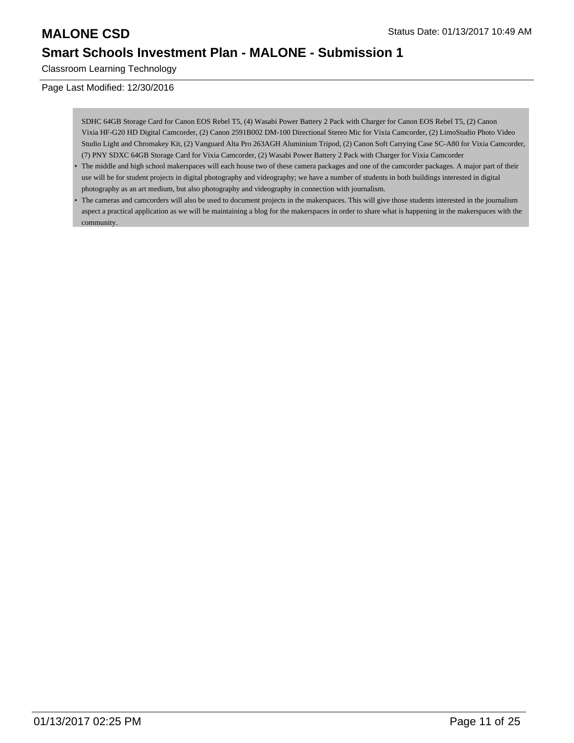Classroom Learning Technology

Page Last Modified: 12/30/2016

SDHC 64GB Storage Card for Canon EOS Rebel T5, (4) Wasabi Power Battery 2 Pack with Charger for Canon EOS Rebel T5, (2) Canon Vixia HF-G20 HD Digital Camcorder, (2) Canon 2591B002 DM-100 Directional Stereo Mic for Vixia Camcorder, (2) LimoStudio Photo Video Studio Light and Chromakey Kit, (2) Vanguard Alta Pro 263AGH Aluminium Tripod, (2) Canon Soft Carrying Case SC-A80 for Vixia Camcorder, (7) PNY SDXC 64GB Storage Card for Vixia Camcorder, (2) Wasabi Power Battery 2 Pack with Charger for Vixia Camcorder

- The middle and high school makerspaces will each house two of these camera packages and one of the camcorder packages. A major part of their use will be for student projects in digital photography and videography; we have a number of students in both buildings interested in digital photography as an art medium, but also photography and videography in connection with journalism.
- The cameras and camcorders will also be used to document projects in the makerspaces. This will give those students interested in the journalism aspect a practical application as we will be maintaining a blog for the makerspaces in order to share what is happening in the makerspaces with the community.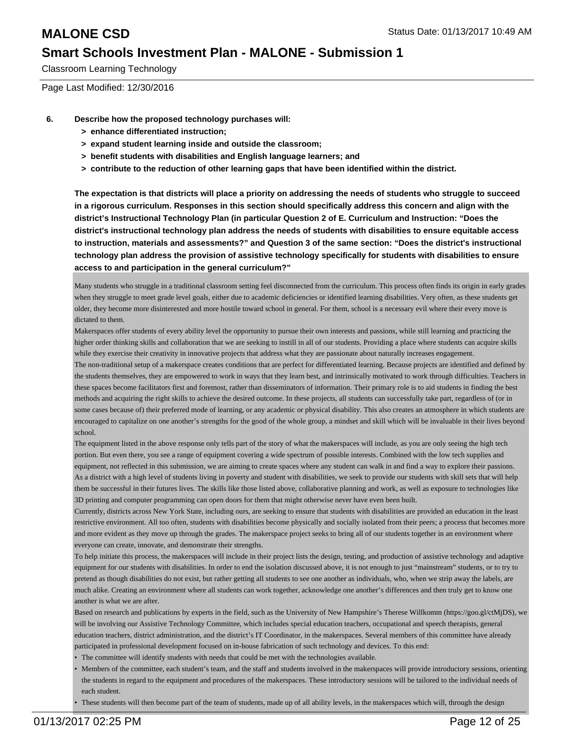Classroom Learning Technology

Page Last Modified: 12/30/2016

- **6. Describe how the proposed technology purchases will:**
	- **> enhance differentiated instruction;**
	- **> expand student learning inside and outside the classroom;**
	- **> benefit students with disabilities and English language learners; and**
	- **> contribute to the reduction of other learning gaps that have been identified within the district.**

**The expectation is that districts will place a priority on addressing the needs of students who struggle to succeed in a rigorous curriculum. Responses in this section should specifically address this concern and align with the district's Instructional Technology Plan (in particular Question 2 of E. Curriculum and Instruction: "Does the district's instructional technology plan address the needs of students with disabilities to ensure equitable access to instruction, materials and assessments?" and Question 3 of the same section: "Does the district's instructional technology plan address the provision of assistive technology specifically for students with disabilities to ensure access to and participation in the general curriculum?"**

Many students who struggle in a traditional classroom setting feel disconnected from the curriculum. This process often finds its origin in early grades when they struggle to meet grade level goals, either due to academic deficiencies or identified learning disabilities. Very often, as these students get older, they become more disinterested and more hostile toward school in general. For them, school is a necessary evil where their every move is dictated to them.

Makerspaces offer students of every ability level the opportunity to pursue their own interests and passions, while still learning and practicing the higher order thinking skills and collaboration that we are seeking to instill in all of our students. Providing a place where students can acquire skills while they exercise their creativity in innovative projects that address what they are passionate about naturally increases engagement. The non-traditional setup of a makerspace creates conditions that are perfect for differentiated learning. Because projects are identified and defined by the students themselves, they are empowered to work in ways that they learn best, and intrinsically motivated to work through difficulties. Teachers in these spaces become facilitators first and foremost, rather than disseminators of information. Their primary role is to aid students in finding the best methods and acquiring the right skills to achieve the desired outcome. In these projects, all students can successfully take part, regardless of (or in some cases because of) their preferred mode of learning, or any academic or physical disability. This also creates an atmosphere in which students are encouraged to capitalize on one another's strengths for the good of the whole group, a mindset and skill which will be invaluable in their lives beyond school.

The equipment listed in the above response only tells part of the story of what the makerspaces will include, as you are only seeing the high tech portion. But even there, you see a range of equipment covering a wide spectrum of possible interests. Combined with the low tech supplies and equipment, not reflected in this submission, we are aiming to create spaces where any student can walk in and find a way to explore their passions. As a district with a high level of students living in poverty and student with disabilities, we seek to provide our students with skill sets that will help them be successful in their futures lives. The skills like those listed above, collaborative planning and work, as well as exposure to technologies like 3D printing and computer programming can open doors for them that might otherwise never have even been built.

Currently, districts across New York State, including ours, are seeking to ensure that students with disabilities are provided an education in the least restrictive environment. All too often, students with disabilities become physically and socially isolated from their peers; a process that becomes more and more evident as they move up through the grades. The makerspace project seeks to bring all of our students together in an environment where everyone can create, innovate, and demonstrate their strengths.

To help initiate this process, the makerspaces will include in their project lists the design, testing, and production of assistive technology and adaptive equipment for our students with disabilities. In order to end the isolation discussed above, it is not enough to just "mainstream" students, or to try to pretend as though disabilities do not exist, but rather getting all students to see one another as individuals, who, when we strip away the labels, are much alike. Creating an environment where all students can work together, acknowledge one another's differences and then truly get to know one another is what we are after.

Based on research and publications by experts in the field, such as the University of New Hampshire's Therese Willkomm (https://goo.gl/ctMjDS), we will be involving our Assistive Technology Committee, which includes special education teachers, occupational and speech therapists, general education teachers, district administration, and the district's IT Coordinator, in the makerspaces. Several members of this committee have already participated in professional development focused on in-house fabrication of such technology and devices. To this end:

- The committee will identify students with needs that could be met with the technologies available.
- Members of the committee, each student's team, and the staff and students involved in the makerspaces will provide introductory sessions, orienting the students in regard to the equipment and procedures of the makerspaces. These introductory sessions will be tailored to the individual needs of each student.
- These students will then become part of the team of students, made up of all ability levels, in the makerspaces which will, through the design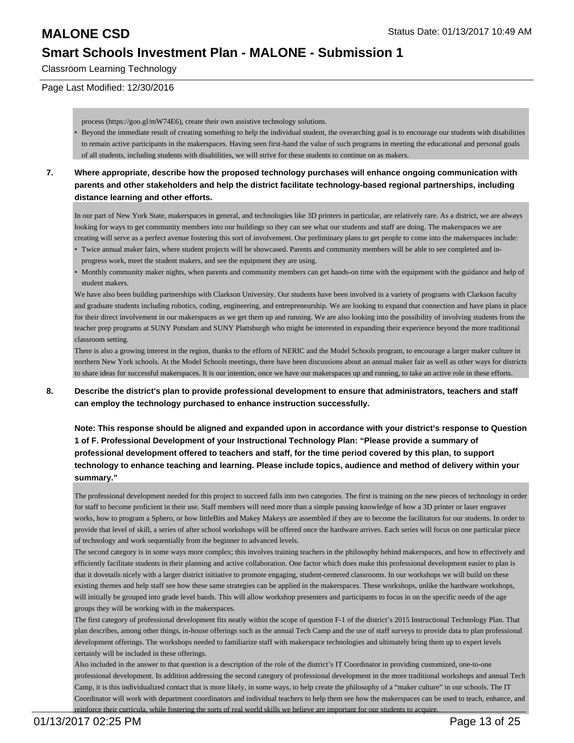Classroom Learning Technology

Page Last Modified: 12/30/2016

- process (https://goo.gl/mW74E6), create their own assistive technology solutions.
- Beyond the immediate result of creating something to help the individual student, the overarching goal is to encourage our students with disabilities to remain active participants in the makerspaces. Having seen first-hand the value of such programs in meeting the educational and personal goals of all students, including students with disabilities, we will strive for these students to continue on as makers.

### **7. Where appropriate, describe how the proposed technology purchases will enhance ongoing communication with parents and other stakeholders and help the district facilitate technology-based regional partnerships, including distance learning and other efforts.**

In our part of New York State, makerspaces in general, and technologies like 3D printers in particular, are relatively rare. As a district, we are always looking for ways to get community members into our buildings so they can see what our students and staff are doing. The makerspaces we are creating will serve as a perfect avenue fostering this sort of involvement. Our preliminary plans to get people to come into the makerspaces include:

- Twice annual maker fairs, where student projects will be showcased. Parents and community members will be able to see completed and inprogress work, meet the student makers, and see the equipment they are using.
- Monthly community maker nights, when parents and community members can get hands-on time with the equipment with the guidance and help of student makers.

We have also been building partnerships with Clarkson University. Our students have been involved in a variety of programs with Clarkson faculty and graduate students including robotics, coding, engineering, and entrepreneurship. We are looking to expand that connection and have plans in place for their direct involvement in our makerspaces as we get them up and running. We are also looking into the possibility of involving students from the teacher prep programs at SUNY Potsdam and SUNY Plattsburgh who might be interested in expanding their experience beyond the more traditional classroom setting.

There is also a growing interest in the region, thanks to the efforts of NERIC and the Model Schools program, to encourage a larger maker culture in northern New York schools. At the Model Schools meetings, there have been discussions about an annual maker fair as well as other ways for districts to share ideas for successful makerspaces. It is our intention, once we have our makerspaces up and running, to take an active role in these efforts.

**8. Describe the district's plan to provide professional development to ensure that administrators, teachers and staff can employ the technology purchased to enhance instruction successfully.**

**Note: This response should be aligned and expanded upon in accordance with your district's response to Question 1 of F. Professional Development of your Instructional Technology Plan: "Please provide a summary of professional development offered to teachers and staff, for the time period covered by this plan, to support technology to enhance teaching and learning. Please include topics, audience and method of delivery within your summary."**

The professional development needed for this project to succeed falls into two categories. The first is training on the new pieces of technology in order for staff to become proficient in their use. Staff members will need more than a simple passing knowledge of how a 3D printer or laser engraver works, how to program a Sphero, or how littleBits and Makey Makeys are assembled if they are to become the facilitators for our students. In order to provide that level of skill, a series of after school workshops will be offered once the hardware arrives. Each series will focus on one particular piece of technology and work sequentially from the beginner to advanced levels.

The second category is in some ways more complex; this involves training teachers in the philosophy behind makerspaces, and how to effectively and efficiently facilitate students in their planning and active collaboration. One factor which does make this professional development easier to plan is that it dovetails nicely with a larger district initiative to promote engaging, student-centered classrooms. In our workshops we will build on these existing themes and help staff see how these same strategies can be applied in the makerspaces. These workshops, unlike the hardware workshops, will initially be grouped into grade level bands. This will allow workshop presenters and participants to focus in on the specific needs of the age groups they will be working with in the makerspaces.

The first category of professional development fits neatly within the scope of question F-1 of the district's 2015 Instructional Technology Plan. That plan describes, among other things, in-house offerings such as the annual Tech Camp and the use of staff surveys to provide data to plan professional development offerings. The workshops needed to familiarize staff with makerspace technologies and ultimately bring them up to expert levels certainly will be included in these offerings.

Also included in the answer to that question is a description of the role of the district's IT Coordinator in providing customized, one-to-one professional development. In addition addressing the second category of professional development in the more traditional workshops and annual Tech Camp, it is this individualized contact that is more likely, in some ways, to help create the philosophy of a "maker culture" in our schools. The IT Coordinator will work with department coordinators and individual teachers to help them see how the makerspaces can be used to teach, enhance, and reinforce their curricula, while fostering the sorts of real world skills we believe are important for our students to acquire.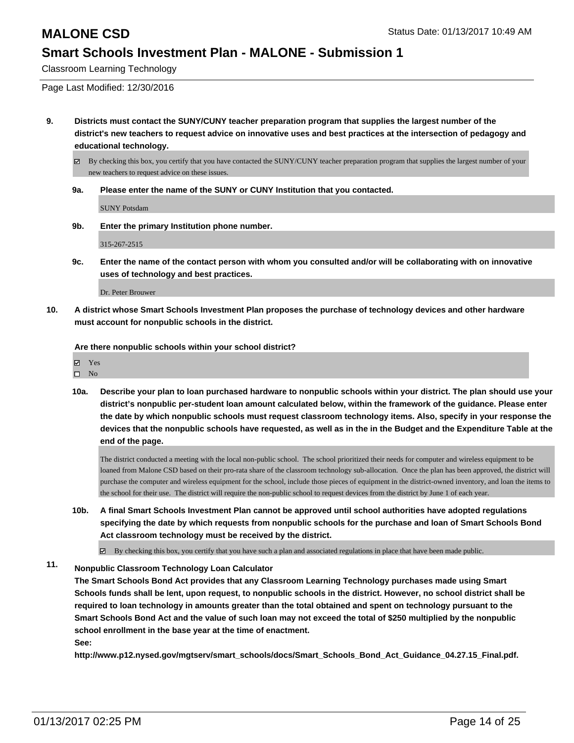Classroom Learning Technology

Page Last Modified: 12/30/2016

**9. Districts must contact the SUNY/CUNY teacher preparation program that supplies the largest number of the district's new teachers to request advice on innovative uses and best practices at the intersection of pedagogy and educational technology.**

 $\boxtimes$  By checking this box, you certify that you have contacted the SUNY/CUNY teacher preparation program that supplies the largest number of your new teachers to request advice on these issues.

**9a. Please enter the name of the SUNY or CUNY Institution that you contacted.**

SUNY Potsdam

**9b. Enter the primary Institution phone number.**

315-267-2515

**9c. Enter the name of the contact person with whom you consulted and/or will be collaborating with on innovative uses of technology and best practices.**

Dr. Peter Brouwer

**10. A district whose Smart Schools Investment Plan proposes the purchase of technology devices and other hardware must account for nonpublic schools in the district.**

**Are there nonpublic schools within your school district?**

Yes  $\square$  No

**10a. Describe your plan to loan purchased hardware to nonpublic schools within your district. The plan should use your district's nonpublic per-student loan amount calculated below, within the framework of the guidance. Please enter the date by which nonpublic schools must request classroom technology items. Also, specify in your response the devices that the nonpublic schools have requested, as well as in the in the Budget and the Expenditure Table at the end of the page.**

The district conducted a meeting with the local non-public school. The school prioritized their needs for computer and wireless equipment to be loaned from Malone CSD based on their pro-rata share of the classroom technology sub-allocation. Once the plan has been approved, the district will purchase the computer and wireless equipment for the school, include those pieces of equipment in the district-owned inventory, and loan the items to the school for their use. The district will require the non-public school to request devices from the district by June 1 of each year.

**10b. A final Smart Schools Investment Plan cannot be approved until school authorities have adopted regulations specifying the date by which requests from nonpublic schools for the purchase and loan of Smart Schools Bond Act classroom technology must be received by the district.**

 $\boxtimes$  By checking this box, you certify that you have such a plan and associated regulations in place that have been made public.

**11. Nonpublic Classroom Technology Loan Calculator**

**The Smart Schools Bond Act provides that any Classroom Learning Technology purchases made using Smart Schools funds shall be lent, upon request, to nonpublic schools in the district. However, no school district shall be required to loan technology in amounts greater than the total obtained and spent on technology pursuant to the Smart Schools Bond Act and the value of such loan may not exceed the total of \$250 multiplied by the nonpublic school enrollment in the base year at the time of enactment.**

**See:**

**http://www.p12.nysed.gov/mgtserv/smart\_schools/docs/Smart\_Schools\_Bond\_Act\_Guidance\_04.27.15\_Final.pdf.**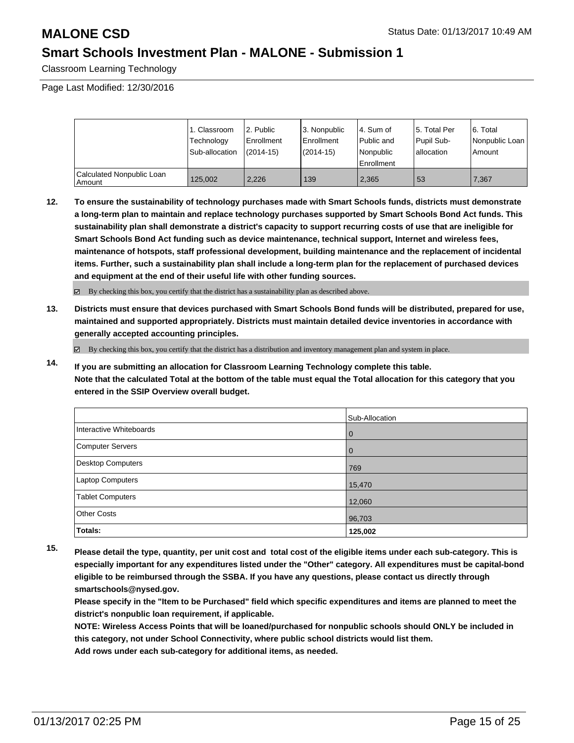Classroom Learning Technology

Page Last Modified: 12/30/2016

|                                     | 1. Classroom<br>Technology<br>Sub-allocation | 2. Public<br>l Enrollment<br>$(2014 - 15)$ | l 3. Nonpublic<br><b>Enrollment</b><br>(2014-15) | 4. Sum of<br>l Public and<br>Nonpublic<br><b>Enrollment</b> | 15. Total Per<br>Pupil Sub-<br>Iallocation | 6. Total<br>Nonpublic Loan<br>Amount |
|-------------------------------------|----------------------------------------------|--------------------------------------------|--------------------------------------------------|-------------------------------------------------------------|--------------------------------------------|--------------------------------------|
| Calculated Nonpublic Loan<br>Amount | 125.002                                      | 2.226                                      | 139                                              | 2,365                                                       | 53                                         | 7,367                                |

**12. To ensure the sustainability of technology purchases made with Smart Schools funds, districts must demonstrate a long-term plan to maintain and replace technology purchases supported by Smart Schools Bond Act funds. This sustainability plan shall demonstrate a district's capacity to support recurring costs of use that are ineligible for Smart Schools Bond Act funding such as device maintenance, technical support, Internet and wireless fees, maintenance of hotspots, staff professional development, building maintenance and the replacement of incidental items. Further, such a sustainability plan shall include a long-term plan for the replacement of purchased devices and equipment at the end of their useful life with other funding sources.**

By checking this box, you certify that the district has a sustainability plan as described above.

**13. Districts must ensure that devices purchased with Smart Schools Bond funds will be distributed, prepared for use, maintained and supported appropriately. Districts must maintain detailed device inventories in accordance with generally accepted accounting principles.**

 $\boxtimes$  By checking this box, you certify that the district has a distribution and inventory management plan and system in place.

**14. If you are submitting an allocation for Classroom Learning Technology complete this table. Note that the calculated Total at the bottom of the table must equal the Total allocation for this category that you entered in the SSIP Overview overall budget.**

|                         | Sub-Allocation |
|-------------------------|----------------|
| Interactive Whiteboards | 0              |
| Computer Servers        |                |
| Desktop Computers       | 769            |
| Laptop Computers        | 15,470         |
| Tablet Computers        | 12,060         |
| <b>Other Costs</b>      | 96,703         |
| Totals:                 | 125,002        |

**15. Please detail the type, quantity, per unit cost and total cost of the eligible items under each sub-category. This is especially important for any expenditures listed under the "Other" category. All expenditures must be capital-bond eligible to be reimbursed through the SSBA. If you have any questions, please contact us directly through smartschools@nysed.gov.**

**Please specify in the "Item to be Purchased" field which specific expenditures and items are planned to meet the district's nonpublic loan requirement, if applicable.**

**NOTE: Wireless Access Points that will be loaned/purchased for nonpublic schools should ONLY be included in this category, not under School Connectivity, where public school districts would list them.**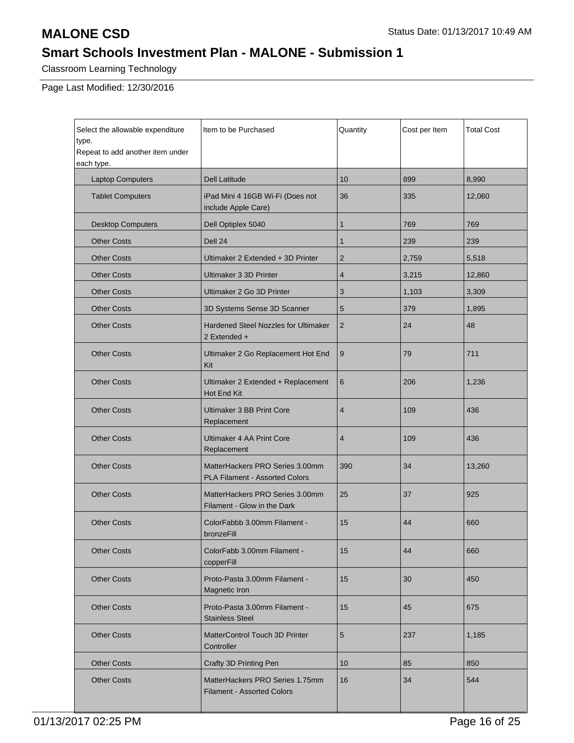Classroom Learning Technology

| Select the allowable expenditure<br>type.<br>Repeat to add another item under<br>each type. | Item to be Purchased                                                 | Quantity         | Cost per Item | <b>Total Cost</b> |
|---------------------------------------------------------------------------------------------|----------------------------------------------------------------------|------------------|---------------|-------------------|
| <b>Laptop Computers</b>                                                                     | <b>Dell Latitude</b>                                                 | 10               | 899           | 8,990             |
| <b>Tablet Computers</b>                                                                     | iPad Mini 4 16GB Wi-Fi (Does not<br>include Apple Care)              | 36               | 335           | 12,060            |
| <b>Desktop Computers</b>                                                                    | Dell Optiplex 5040                                                   | $\mathbf{1}$     | 769           | 769               |
| <b>Other Costs</b>                                                                          | Dell 24                                                              | $\mathbf{1}$     | 239           | 239               |
| <b>Other Costs</b>                                                                          | Ultimaker 2 Extended + 3D Printer                                    | $\overline{2}$   | 2,759         | 5,518             |
| <b>Other Costs</b>                                                                          | Ultimaker 3 3D Printer                                               | 4                | 3,215         | 12,860            |
| <b>Other Costs</b>                                                                          | Ultimaker 2 Go 3D Printer                                            | 3                | 1,103         | 3,309             |
| <b>Other Costs</b>                                                                          | 3D Systems Sense 3D Scanner                                          | 5                | 379           | 1,895             |
| <b>Other Costs</b>                                                                          | <b>Hardened Steel Nozzles for Ultimaker</b><br>2 Extended +          | $\overline{2}$   | 24            | 48                |
| <b>Other Costs</b>                                                                          | Ultimaker 2 Go Replacement Hot End<br>Kit                            | $\boldsymbol{9}$ | 79            | 711               |
| <b>Other Costs</b>                                                                          | Ultimaker 2 Extended + Replacement<br><b>Hot End Kit</b>             | 6                | 206           | 1,236             |
| <b>Other Costs</b>                                                                          | Ultimaker 3 BB Print Core<br>Replacement                             | $\overline{4}$   | 109           | 436               |
| <b>Other Costs</b>                                                                          | Ultimaker 4 AA Print Core<br>Replacement                             | $\overline{4}$   | 109           | 436               |
| <b>Other Costs</b>                                                                          | MatterHackers PRO Series 3.00mm<br>PLA Filament - Assorted Colors    | 390              | 34            | 13,260            |
| <b>Other Costs</b>                                                                          | MatterHackers PRO Series 3.00mm<br>Filament - Glow in the Dark       | 25               | 37            | 925               |
| <b>Other Costs</b>                                                                          | ColorFabbb 3.00mm Filament -<br>bronzeFill                           | 15               | 44            | 660               |
| <b>Other Costs</b>                                                                          | ColorFabb 3.00mm Filament -<br>copperFill                            | 15               | 44            | 660               |
| <b>Other Costs</b>                                                                          | Proto-Pasta 3.00mm Filament -<br>Magnetic Iron                       | 15               | 30            | 450               |
| <b>Other Costs</b>                                                                          | Proto-Pasta 3.00mm Filament -<br><b>Stainless Steel</b>              | 15               | 45            | 675               |
| <b>Other Costs</b>                                                                          | <b>MatterControl Touch 3D Printer</b><br>Controller                  | 5                | 237           | 1,185             |
| <b>Other Costs</b>                                                                          | Crafty 3D Printing Pen                                               | 10               | 85            | 850               |
| <b>Other Costs</b>                                                                          | MatterHackers PRO Series 1.75mm<br><b>Filament - Assorted Colors</b> | 16               | 34            | 544               |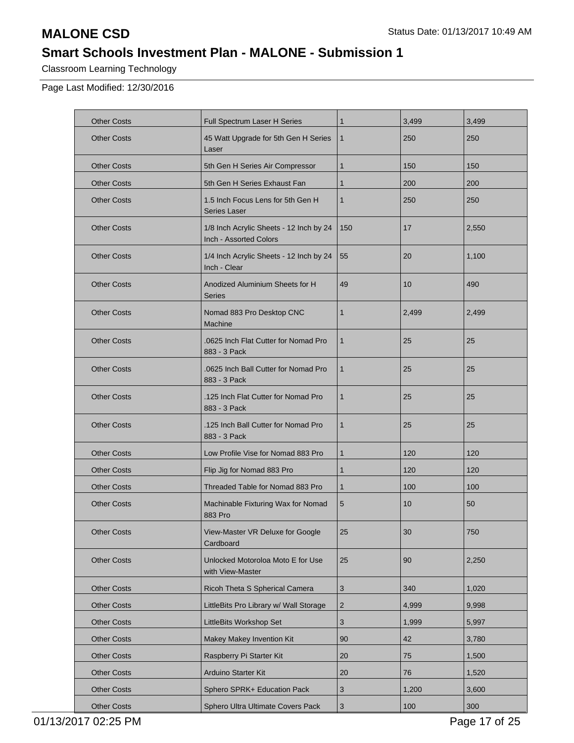Classroom Learning Technology

| <b>Other Costs</b> | Full Spectrum Laser H Series                                      | 1                         | 3,499           | 3,499 |
|--------------------|-------------------------------------------------------------------|---------------------------|-----------------|-------|
| <b>Other Costs</b> | 45 Watt Upgrade for 5th Gen H Series<br>Laser                     | $\mathbf{1}$              | 250             | 250   |
| <b>Other Costs</b> | 5th Gen H Series Air Compressor                                   | 1                         | 150             | 150   |
| <b>Other Costs</b> | 5th Gen H Series Exhaust Fan                                      | $\mathbf{1}$              | 200             | 200   |
| <b>Other Costs</b> | 1.5 Inch Focus Lens for 5th Gen H<br>Series Laser                 | $\mathbf{1}$              | 250             | 250   |
| <b>Other Costs</b> | 1/8 Inch Acrylic Sheets - 12 Inch by 24<br>Inch - Assorted Colors | 150                       | 17              | 2,550 |
| <b>Other Costs</b> | 1/4 Inch Acrylic Sheets - 12 Inch by 24<br>Inch - Clear           | 55                        | 20              | 1,100 |
| <b>Other Costs</b> | Anodized Aluminium Sheets for H<br>Series                         | 49                        | 10              | 490   |
| <b>Other Costs</b> | Nomad 883 Pro Desktop CNC<br>Machine                              | $\mathbf{1}$              | 2,499           | 2,499 |
| <b>Other Costs</b> | .0625 Inch Flat Cutter for Nomad Pro<br>883 - 3 Pack              | $\mathbf{1}$              | 25              | 25    |
| <b>Other Costs</b> | .0625 Inch Ball Cutter for Nomad Pro<br>883 - 3 Pack              | $\mathbf{1}$              | 25              | 25    |
| <b>Other Costs</b> | .125 Inch Flat Cutter for Nomad Pro<br>883 - 3 Pack               | $\mathbf{1}$              | 25              | 25    |
| <b>Other Costs</b> | .125 Inch Ball Cutter for Nomad Pro<br>883 - 3 Pack               | $\mathbf{1}$              | 25              | 25    |
| <b>Other Costs</b> | Low Profile Vise for Nomad 883 Pro                                | $\mathbf{1}$              | 120             | 120   |
| <b>Other Costs</b> | Flip Jig for Nomad 883 Pro                                        | 1                         | 120             | 120   |
| <b>Other Costs</b> | Threaded Table for Nomad 883 Pro                                  | 1                         | 100             | 100   |
| <b>Other Costs</b> | Machinable Fixturing Wax for Nomad<br>883 Pro                     | 5                         | 10 <sup>1</sup> | 50    |
| <b>Other Costs</b> | View-Master VR Deluxe for Google<br>Cardboard                     | 25                        | 30              | 750   |
| <b>Other Costs</b> | Unlocked Motoroloa Moto E for Use<br>with View-Master             | 25                        | 90              | 2,250 |
| <b>Other Costs</b> | Ricoh Theta S Spherical Camera                                    | $\sqrt{3}$                | 340             | 1,020 |
| <b>Other Costs</b> | LittleBits Pro Library w/ Wall Storage                            | $\overline{2}$            | 4,999           | 9,998 |
| <b>Other Costs</b> | LittleBits Workshop Set                                           | 3                         | 1,999           | 5,997 |
| <b>Other Costs</b> | Makey Makey Invention Kit                                         | 90                        | 42              | 3,780 |
| <b>Other Costs</b> | Raspberry Pi Starter Kit                                          | 20                        | 75              | 1,500 |
| <b>Other Costs</b> | Arduino Starter Kit                                               | 20                        | 76              | 1,520 |
| <b>Other Costs</b> | Sphero SPRK+ Education Pack                                       | 3                         | 1,200           | 3,600 |
| <b>Other Costs</b> | Sphero Ultra Ultimate Covers Pack                                 | $\ensuremath{\mathsf{3}}$ | 100             | 300   |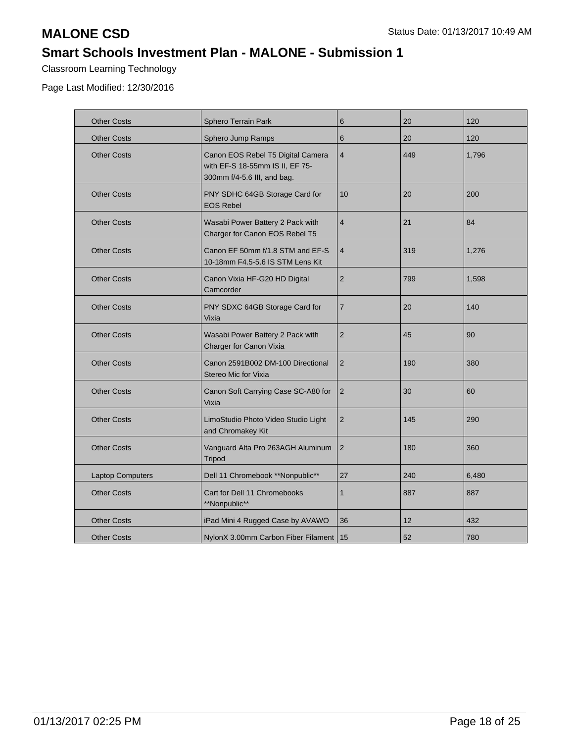Classroom Learning Technology

| <b>Other Costs</b>      | Sphero Terrain Park                                                                                 | 6              | 20  | 120   |
|-------------------------|-----------------------------------------------------------------------------------------------------|----------------|-----|-------|
| <b>Other Costs</b>      | Sphero Jump Ramps                                                                                   | 6              | 20  | 120   |
| <b>Other Costs</b>      | Canon EOS Rebel T5 Digital Camera<br>with EF-S 18-55mm IS II, EF 75-<br>300mm f/4-5.6 III, and bag. | $\overline{4}$ | 449 | 1,796 |
| <b>Other Costs</b>      | PNY SDHC 64GB Storage Card for<br><b>EOS Rebel</b>                                                  | 10             | 20  | 200   |
| <b>Other Costs</b>      | Wasabi Power Battery 2 Pack with<br>Charger for Canon EOS Rebel T5                                  | $\overline{4}$ | 21  | 84    |
| <b>Other Costs</b>      | Canon EF 50mm f/1.8 STM and EF-S<br>10-18mm F4.5-5.6 IS STM Lens Kit                                | $\overline{4}$ | 319 | 1,276 |
| <b>Other Costs</b>      | Canon Vixia HF-G20 HD Digital<br>Camcorder                                                          | $\overline{2}$ | 799 | 1,598 |
| <b>Other Costs</b>      | PNY SDXC 64GB Storage Card for<br>Vixia                                                             | $\overline{7}$ | 20  | 140   |
| <b>Other Costs</b>      | Wasabi Power Battery 2 Pack with<br>Charger for Canon Vixia                                         | $\overline{2}$ | 45  | 90    |
| <b>Other Costs</b>      | Canon 2591B002 DM-100 Directional<br>Stereo Mic for Vixia                                           | $\overline{2}$ | 190 | 380   |
| <b>Other Costs</b>      | Canon Soft Carrying Case SC-A80 for<br>Vixia                                                        | 2              | 30  | 60    |
| <b>Other Costs</b>      | LimoStudio Photo Video Studio Light<br>and Chromakey Kit                                            | $\mathbf 2$    | 145 | 290   |
| <b>Other Costs</b>      | Vanguard Alta Pro 263AGH Aluminum<br>Tripod                                                         | $\overline{2}$ | 180 | 360   |
| <b>Laptop Computers</b> | Dell 11 Chromebook **Nonpublic**                                                                    | 27             | 240 | 6,480 |
| <b>Other Costs</b>      | Cart for Dell 11 Chromebooks<br>**Nonpublic**                                                       | $\mathbf{1}$   | 887 | 887   |
| <b>Other Costs</b>      | iPad Mini 4 Rugged Case by AVAWO                                                                    | 36             | 12  | 432   |
| <b>Other Costs</b>      | NylonX 3.00mm Carbon Fiber Filament   15                                                            |                | 52  | 780   |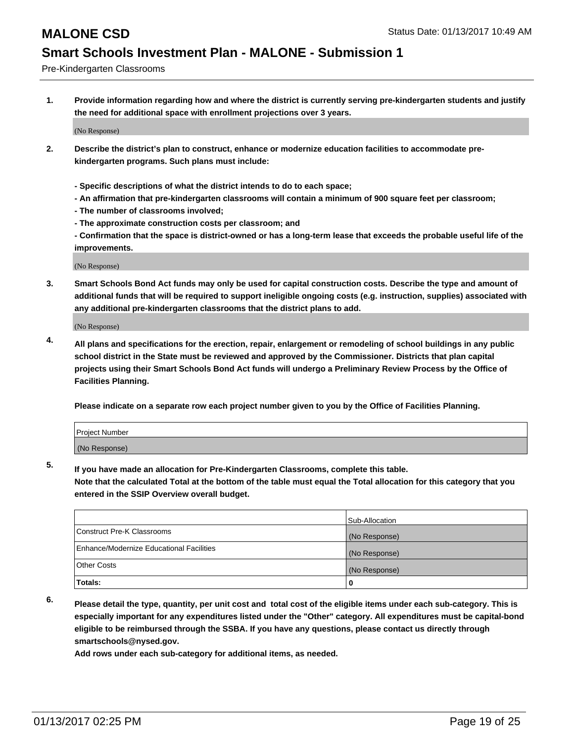Pre-Kindergarten Classrooms

**1. Provide information regarding how and where the district is currently serving pre-kindergarten students and justify the need for additional space with enrollment projections over 3 years.**

(No Response)

- **2. Describe the district's plan to construct, enhance or modernize education facilities to accommodate prekindergarten programs. Such plans must include:**
	- **Specific descriptions of what the district intends to do to each space;**
	- **An affirmation that pre-kindergarten classrooms will contain a minimum of 900 square feet per classroom;**
	- **The number of classrooms involved;**
	- **The approximate construction costs per classroom; and**
	- **Confirmation that the space is district-owned or has a long-term lease that exceeds the probable useful life of the improvements.**

(No Response)

**3. Smart Schools Bond Act funds may only be used for capital construction costs. Describe the type and amount of additional funds that will be required to support ineligible ongoing costs (e.g. instruction, supplies) associated with any additional pre-kindergarten classrooms that the district plans to add.**

(No Response)

**4. All plans and specifications for the erection, repair, enlargement or remodeling of school buildings in any public school district in the State must be reviewed and approved by the Commissioner. Districts that plan capital projects using their Smart Schools Bond Act funds will undergo a Preliminary Review Process by the Office of Facilities Planning.**

**Please indicate on a separate row each project number given to you by the Office of Facilities Planning.**

| <b>Project Number</b> |  |
|-----------------------|--|
| (No Response)         |  |

**5. If you have made an allocation for Pre-Kindergarten Classrooms, complete this table.**

**Note that the calculated Total at the bottom of the table must equal the Total allocation for this category that you entered in the SSIP Overview overall budget.**

|                                          | Sub-Allocation |
|------------------------------------------|----------------|
| Construct Pre-K Classrooms               | (No Response)  |
| Enhance/Modernize Educational Facilities | (No Response)  |
| Other Costs                              | (No Response)  |
| Totals:                                  | $\mathbf{0}$   |

**6. Please detail the type, quantity, per unit cost and total cost of the eligible items under each sub-category. This is especially important for any expenditures listed under the "Other" category. All expenditures must be capital-bond eligible to be reimbursed through the SSBA. If you have any questions, please contact us directly through smartschools@nysed.gov.**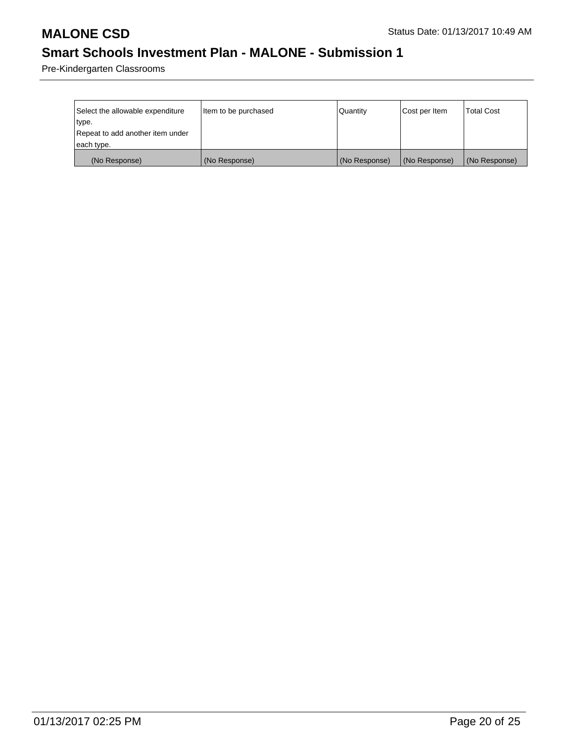Pre-Kindergarten Classrooms

| Select the allowable expenditure | litem to be purchased | Quantity      | Cost per Item | <b>Total Cost</b> |
|----------------------------------|-----------------------|---------------|---------------|-------------------|
| type.                            |                       |               |               |                   |
| Repeat to add another item under |                       |               |               |                   |
| each type.                       |                       |               |               |                   |
| (No Response)                    | (No Response)         | (No Response) | (No Response) | (No Response)     |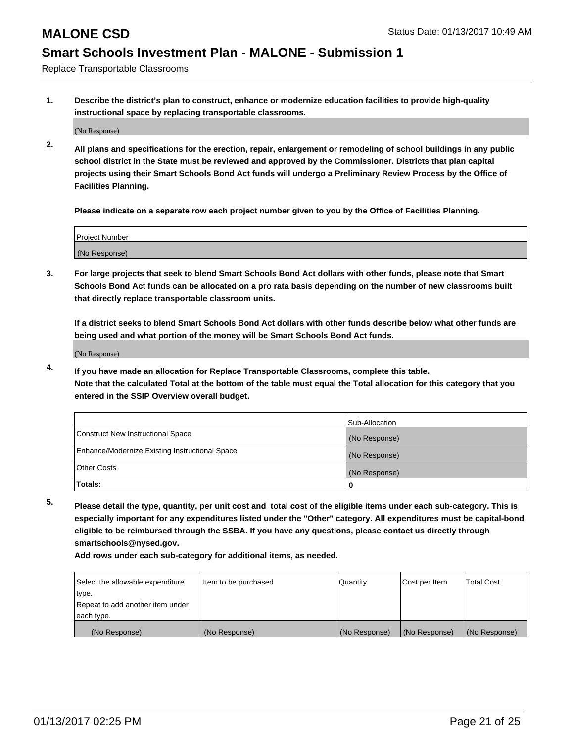Replace Transportable Classrooms

**1. Describe the district's plan to construct, enhance or modernize education facilities to provide high-quality instructional space by replacing transportable classrooms.**

(No Response)

**2. All plans and specifications for the erection, repair, enlargement or remodeling of school buildings in any public school district in the State must be reviewed and approved by the Commissioner. Districts that plan capital projects using their Smart Schools Bond Act funds will undergo a Preliminary Review Process by the Office of Facilities Planning.**

**Please indicate on a separate row each project number given to you by the Office of Facilities Planning.**

| Project Number |  |
|----------------|--|
|                |  |
|                |  |
|                |  |
| (No Response)  |  |
|                |  |
|                |  |

**3. For large projects that seek to blend Smart Schools Bond Act dollars with other funds, please note that Smart Schools Bond Act funds can be allocated on a pro rata basis depending on the number of new classrooms built that directly replace transportable classroom units.**

**If a district seeks to blend Smart Schools Bond Act dollars with other funds describe below what other funds are being used and what portion of the money will be Smart Schools Bond Act funds.**

(No Response)

**4. If you have made an allocation for Replace Transportable Classrooms, complete this table. Note that the calculated Total at the bottom of the table must equal the Total allocation for this category that you entered in the SSIP Overview overall budget.**

|                                                | Sub-Allocation |
|------------------------------------------------|----------------|
| Construct New Instructional Space              | (No Response)  |
| Enhance/Modernize Existing Instructional Space | (No Response)  |
| Other Costs                                    | (No Response)  |
| Totals:                                        | 0              |

**5. Please detail the type, quantity, per unit cost and total cost of the eligible items under each sub-category. This is especially important for any expenditures listed under the "Other" category. All expenditures must be capital-bond eligible to be reimbursed through the SSBA. If you have any questions, please contact us directly through smartschools@nysed.gov.**

| Select the allowable expenditure | litem to be purchased | Quantity      | Cost per Item | <b>Total Cost</b> |
|----------------------------------|-----------------------|---------------|---------------|-------------------|
| type.                            |                       |               |               |                   |
| Repeat to add another item under |                       |               |               |                   |
| each type.                       |                       |               |               |                   |
| (No Response)                    | (No Response)         | (No Response) | (No Response) | (No Response)     |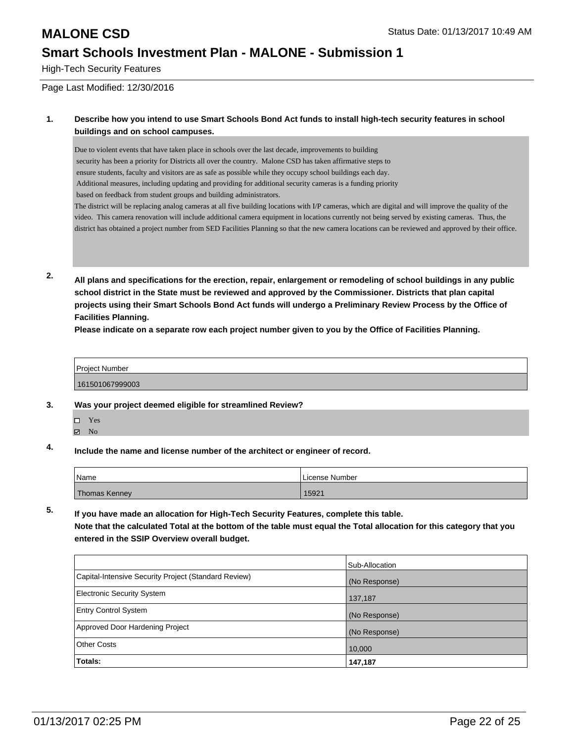High-Tech Security Features

Page Last Modified: 12/30/2016

### **1. Describe how you intend to use Smart Schools Bond Act funds to install high-tech security features in school buildings and on school campuses.**

Due to violent events that have taken place in schools over the last decade, improvements to building security has been a priority for Districts all over the country. Malone CSD has taken affirmative steps to ensure students, faculty and visitors are as safe as possible while they occupy school buildings each day. Additional measures, including updating and providing for additional security cameras is a funding priority based on feedback from student groups and building administrators. The district will be replacing analog cameras at all five building locations with I/P cameras, which are digital and will improve the quality of the video. This camera renovation will include additional camera equipment in locations currently not being served by existing cameras. Thus, the district has obtained a project number from SED Facilities Planning so that the new camera locations can be reviewed and approved by their office.

**2. All plans and specifications for the erection, repair, enlargement or remodeling of school buildings in any public school district in the State must be reviewed and approved by the Commissioner. Districts that plan capital projects using their Smart Schools Bond Act funds will undergo a Preliminary Review Process by the Office of Facilities Planning.** 

**Please indicate on a separate row each project number given to you by the Office of Facilities Planning.**

Project Number 161501067999003

- **3. Was your project deemed eligible for streamlined Review?**
	- Yes
	- $\boxtimes$  No
- **4. Include the name and license number of the architect or engineer of record.**

| Name                 | i License Number |
|----------------------|------------------|
| <b>Thomas Kenney</b> | 15921            |

**5. If you have made an allocation for High-Tech Security Features, complete this table. Note that the calculated Total at the bottom of the table must equal the Total allocation for this category that you entered in the SSIP Overview overall budget.**

|                                                      | Sub-Allocation |
|------------------------------------------------------|----------------|
| Capital-Intensive Security Project (Standard Review) | (No Response)  |
| <b>Electronic Security System</b>                    | 137,187        |
| <b>Entry Control System</b>                          | (No Response)  |
| Approved Door Hardening Project                      | (No Response)  |
| <b>Other Costs</b>                                   | 10,000         |
| Totals:                                              | 147,187        |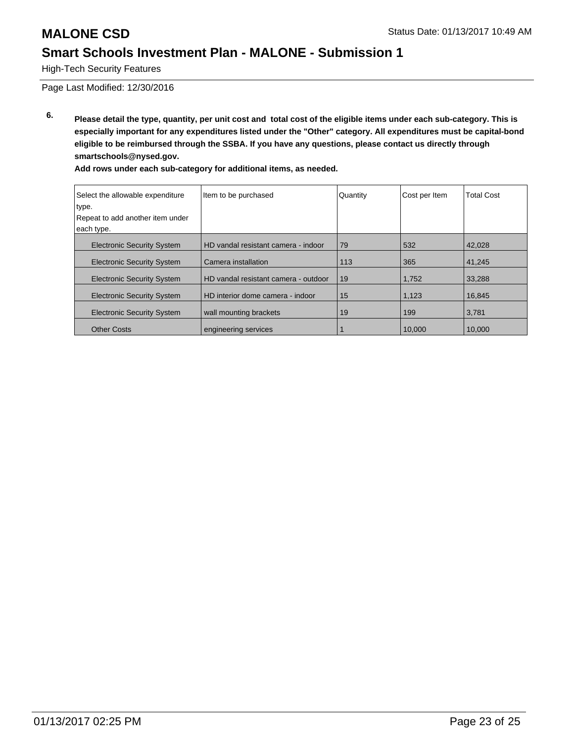High-Tech Security Features

Page Last Modified: 12/30/2016

**6. Please detail the type, quantity, per unit cost and total cost of the eligible items under each sub-category. This is especially important for any expenditures listed under the "Other" category. All expenditures must be capital-bond eligible to be reimbursed through the SSBA. If you have any questions, please contact us directly through smartschools@nysed.gov.**

| Select the allowable expenditure<br>type. | Item to be purchased                 | Quantity | Cost per Item | <b>Total Cost</b> |
|-------------------------------------------|--------------------------------------|----------|---------------|-------------------|
| Repeat to add another item under          |                                      |          |               |                   |
| each type.                                |                                      |          |               |                   |
| <b>Electronic Security System</b>         | HD vandal resistant camera - indoor  | 79       | 532           | 42,028            |
| <b>Electronic Security System</b>         | Camera installation                  | 113      | 365           | 41.245            |
| <b>Electronic Security System</b>         | HD vandal resistant camera - outdoor | 19       | 1,752         | 33.288            |
| <b>Electronic Security System</b>         | HD interior dome camera - indoor     | 15       | 1,123         | 16.845            |
| <b>Electronic Security System</b>         | wall mounting brackets               | 19       | 199           | 3,781             |
| <b>Other Costs</b>                        | engineering services                 |          | 10.000        | 10.000            |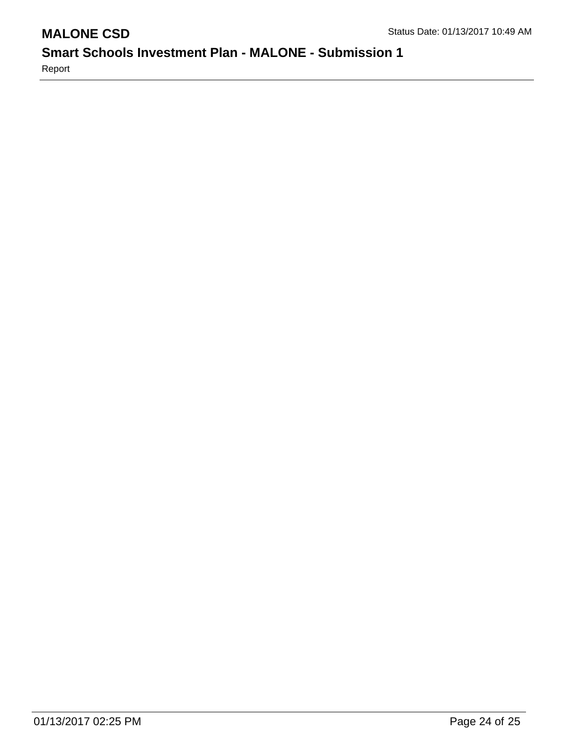# **MALONE CSD** Status Date: 01/13/2017 10:49 AM

**Smart Schools Investment Plan - MALONE - Submission 1**

Report